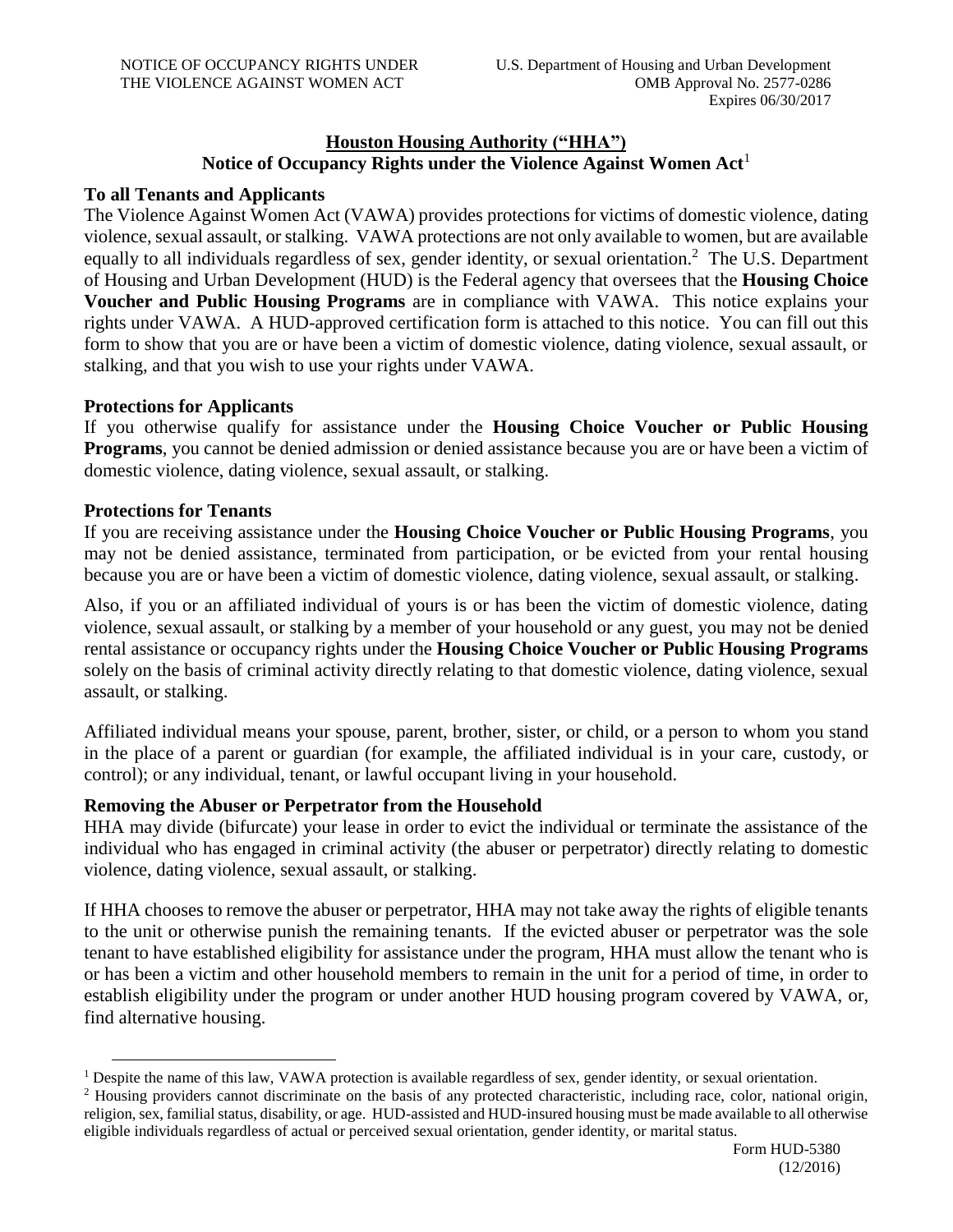## **Houston Housing Authority ("HHA") Notice of Occupancy Rights under the Violence Against Women Act**<sup>1</sup>

### **To all Tenants and Applicants**

The Violence Against Women Act (VAWA) provides protections for victims of domestic violence, dating violence, sexual assault, or stalking. VAWA protections are not only available to women, but are available equally to all individuals regardless of sex, gender identity, or sexual orientation.<sup>2</sup> The U.S. Department of Housing and Urban Development (HUD) is the Federal agency that oversees that the **Housing Choice Voucher and Public Housing Programs** are in compliance with VAWA. This notice explains your rights under VAWA. A HUD-approved certification form is attached to this notice. You can fill out this form to show that you are or have been a victim of domestic violence, dating violence, sexual assault, or stalking, and that you wish to use your rights under VAWA.

### **Protections for Applicants**

If you otherwise qualify for assistance under the **Housing Choice Voucher or Public Housing Programs**, you cannot be denied admission or denied assistance because you are or have been a victim of domestic violence, dating violence, sexual assault, or stalking.

#### **Protections for Tenants**

 $\overline{a}$ 

If you are receiving assistance under the **Housing Choice Voucher or Public Housing Programs**, you may not be denied assistance, terminated from participation, or be evicted from your rental housing because you are or have been a victim of domestic violence, dating violence, sexual assault, or stalking.

Also, if you or an affiliated individual of yours is or has been the victim of domestic violence, dating violence, sexual assault, or stalking by a member of your household or any guest, you may not be denied rental assistance or occupancy rights under the **Housing Choice Voucher or Public Housing Programs** solely on the basis of criminal activity directly relating to that domestic violence, dating violence, sexual assault, or stalking.

Affiliated individual means your spouse, parent, brother, sister, or child, or a person to whom you stand in the place of a parent or guardian (for example, the affiliated individual is in your care, custody, or control); or any individual, tenant, or lawful occupant living in your household.

### **Removing the Abuser or Perpetrator from the Household**

HHA may divide (bifurcate) your lease in order to evict the individual or terminate the assistance of the individual who has engaged in criminal activity (the abuser or perpetrator) directly relating to domestic violence, dating violence, sexual assault, or stalking.

If HHA chooses to remove the abuser or perpetrator, HHA may not take away the rights of eligible tenants to the unit or otherwise punish the remaining tenants. If the evicted abuser or perpetrator was the sole tenant to have established eligibility for assistance under the program, HHA must allow the tenant who is or has been a victim and other household members to remain in the unit for a period of time, in order to establish eligibility under the program or under another HUD housing program covered by VAWA, or, find alternative housing.

<sup>&</sup>lt;sup>1</sup> Despite the name of this law, VAWA protection is available regardless of sex, gender identity, or sexual orientation.

<sup>&</sup>lt;sup>2</sup> Housing providers cannot discriminate on the basis of any protected characteristic, including race, color, national origin, religion, sex, familial status, disability, or age. HUD-assisted and HUD-insured housing must be made available to all otherwise eligible individuals regardless of actual or perceived sexual orientation, gender identity, or marital status.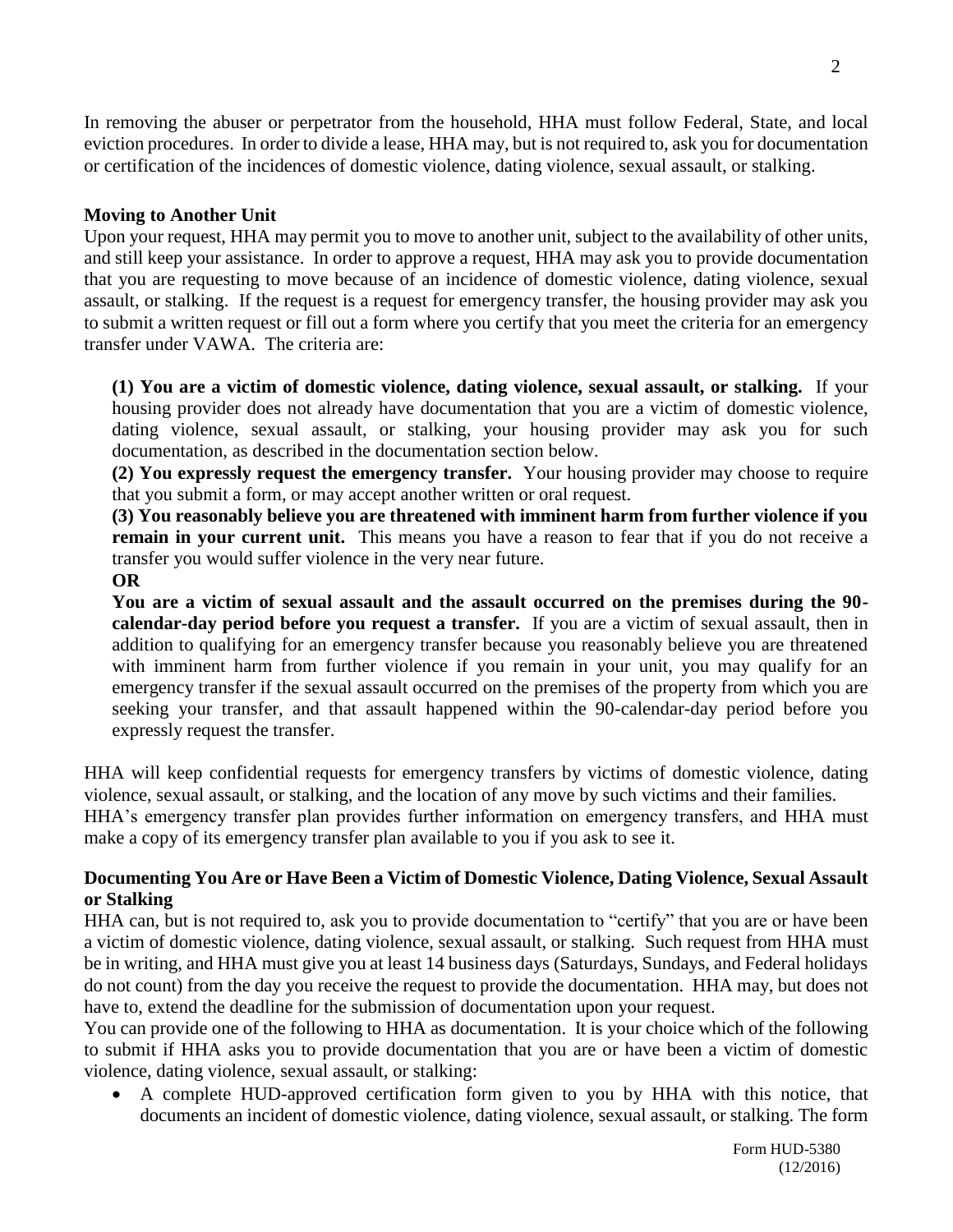In removing the abuser or perpetrator from the household, HHA must follow Federal, State, and local eviction procedures. In order to divide a lease, HHA may, but is not required to, ask you for documentation or certification of the incidences of domestic violence, dating violence, sexual assault, or stalking.

## **Moving to Another Unit**

Upon your request, HHA may permit you to move to another unit, subject to the availability of other units, and still keep your assistance. In order to approve a request, HHA may ask you to provide documentation that you are requesting to move because of an incidence of domestic violence, dating violence, sexual assault, or stalking. If the request is a request for emergency transfer, the housing provider may ask you to submit a written request or fill out a form where you certify that you meet the criteria for an emergency transfer under VAWA. The criteria are:

**(1) You are a victim of domestic violence, dating violence, sexual assault, or stalking.** If your housing provider does not already have documentation that you are a victim of domestic violence, dating violence, sexual assault, or stalking, your housing provider may ask you for such documentation, as described in the documentation section below.

**(2) You expressly request the emergency transfer.** Your housing provider may choose to require that you submit a form, or may accept another written or oral request.

**(3) You reasonably believe you are threatened with imminent harm from further violence if you remain in your current unit.** This means you have a reason to fear that if you do not receive a transfer you would suffer violence in the very near future.

### **OR**

**You are a victim of sexual assault and the assault occurred on the premises during the 90 calendar-day period before you request a transfer.** If you are a victim of sexual assault, then in addition to qualifying for an emergency transfer because you reasonably believe you are threatened with imminent harm from further violence if you remain in your unit, you may qualify for an emergency transfer if the sexual assault occurred on the premises of the property from which you are seeking your transfer, and that assault happened within the 90-calendar-day period before you expressly request the transfer.

HHA will keep confidential requests for emergency transfers by victims of domestic violence, dating violence, sexual assault, or stalking, and the location of any move by such victims and their families. HHA's emergency transfer plan provides further information on emergency transfers, and HHA must make a copy of its emergency transfer plan available to you if you ask to see it.

### **Documenting You Are or Have Been a Victim of Domestic Violence, Dating Violence, Sexual Assault or Stalking**

HHA can, but is not required to, ask you to provide documentation to "certify" that you are or have been a victim of domestic violence, dating violence, sexual assault, or stalking. Such request from HHA must be in writing, and HHA must give you at least 14 business days (Saturdays, Sundays, and Federal holidays do not count) from the day you receive the request to provide the documentation. HHA may, but does not have to, extend the deadline for the submission of documentation upon your request.

You can provide one of the following to HHA as documentation. It is your choice which of the following to submit if HHA asks you to provide documentation that you are or have been a victim of domestic violence, dating violence, sexual assault, or stalking:

 A complete HUD-approved certification form given to you by HHA with this notice, that documents an incident of domestic violence, dating violence, sexual assault, or stalking. The form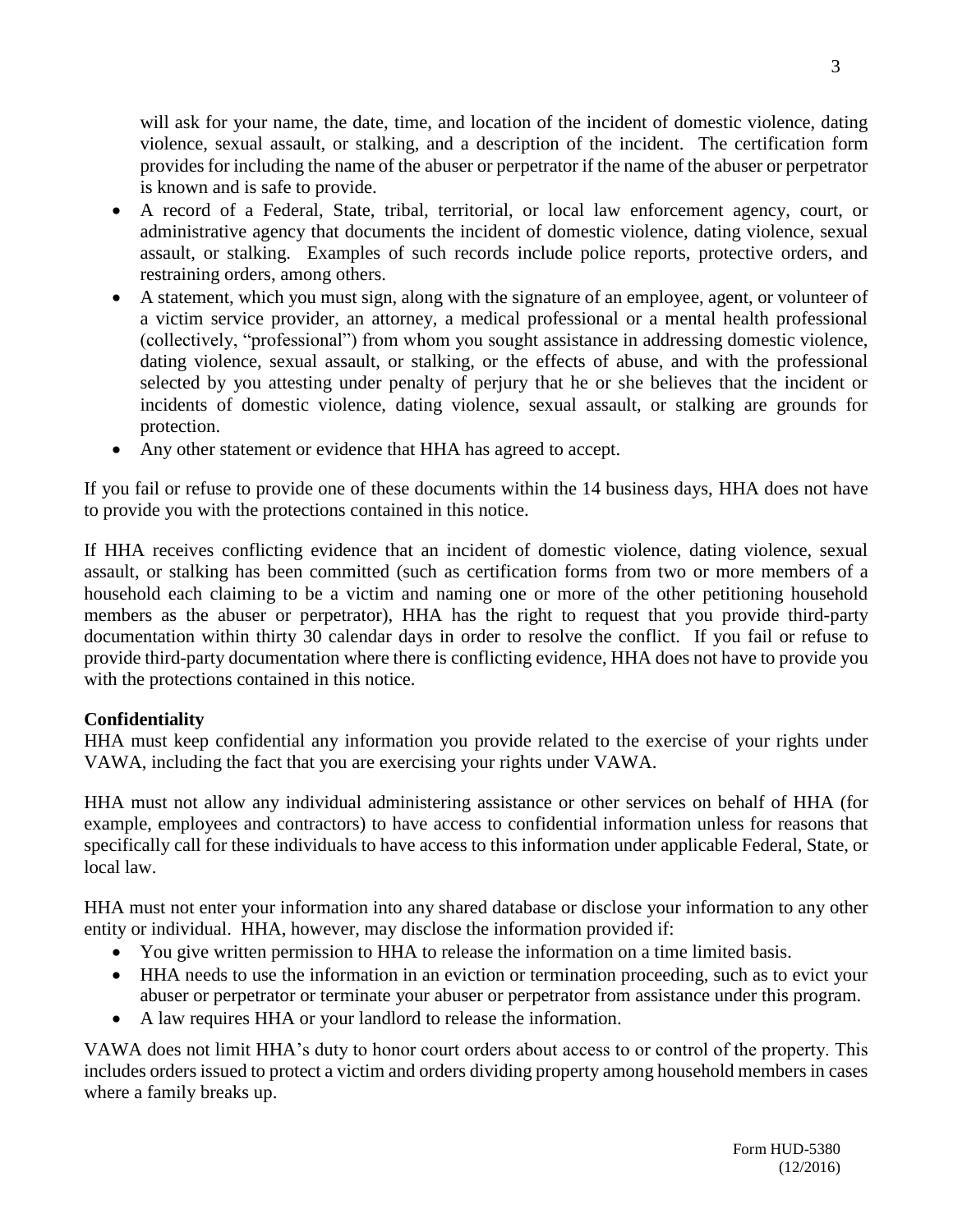will ask for your name, the date, time, and location of the incident of domestic violence, dating violence, sexual assault, or stalking, and a description of the incident. The certification form provides for including the name of the abuser or perpetrator if the name of the abuser or perpetrator is known and is safe to provide.

- A record of a Federal, State, tribal, territorial, or local law enforcement agency, court, or administrative agency that documents the incident of domestic violence, dating violence, sexual assault, or stalking. Examples of such records include police reports, protective orders, and restraining orders, among others.
- A statement, which you must sign, along with the signature of an employee, agent, or volunteer of a victim service provider, an attorney, a medical professional or a mental health professional (collectively, "professional") from whom you sought assistance in addressing domestic violence, dating violence, sexual assault, or stalking, or the effects of abuse, and with the professional selected by you attesting under penalty of perjury that he or she believes that the incident or incidents of domestic violence, dating violence, sexual assault, or stalking are grounds for protection.
- Any other statement or evidence that HHA has agreed to accept.

If you fail or refuse to provide one of these documents within the 14 business days, HHA does not have to provide you with the protections contained in this notice.

If HHA receives conflicting evidence that an incident of domestic violence, dating violence, sexual assault, or stalking has been committed (such as certification forms from two or more members of a household each claiming to be a victim and naming one or more of the other petitioning household members as the abuser or perpetrator), HHA has the right to request that you provide third-party documentation within thirty 30 calendar days in order to resolve the conflict. If you fail or refuse to provide third-party documentation where there is conflicting evidence, HHA does not have to provide you with the protections contained in this notice.

## **Confidentiality**

HHA must keep confidential any information you provide related to the exercise of your rights under VAWA, including the fact that you are exercising your rights under VAWA.

HHA must not allow any individual administering assistance or other services on behalf of HHA (for example, employees and contractors) to have access to confidential information unless for reasons that specifically call for these individuals to have access to this information under applicable Federal, State, or local law.

HHA must not enter your information into any shared database or disclose your information to any other entity or individual. HHA, however, may disclose the information provided if:

- You give written permission to HHA to release the information on a time limited basis.
- HHA needs to use the information in an eviction or termination proceeding, such as to evict your abuser or perpetrator or terminate your abuser or perpetrator from assistance under this program.
- A law requires HHA or your landlord to release the information.

VAWA does not limit HHA's duty to honor court orders about access to or control of the property. This includes orders issued to protect a victim and orders dividing property among household members in cases where a family breaks up.